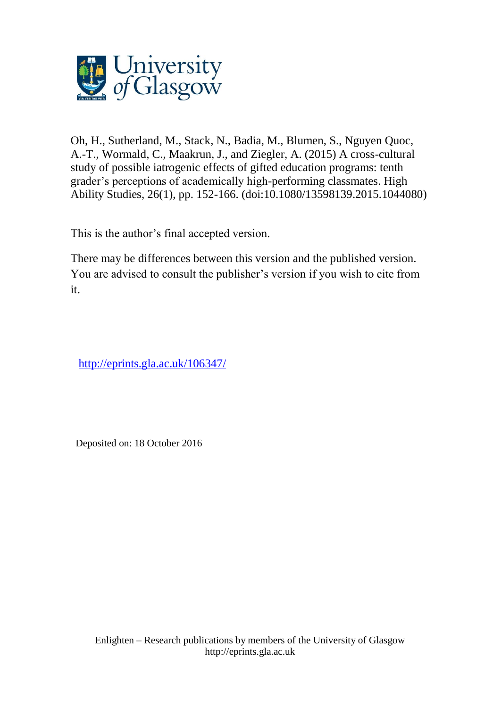

Oh, H., Sutherland, M., Stack, N., Badia, M., Blumen, S., Nguyen Quoc, A.-T., Wormald, C., Maakrun, J., and Ziegler, A. (2015) A cross-cultural study of possible iatrogenic effects of gifted education programs: tenth grader's perceptions of academically high-performing classmates. High Ability Studies, 26(1), pp. 152-166. (doi:10.1080/13598139.2015.1044080)

This is the author's final accepted version.

There may be differences between this version and the published version. You are advised to consult the publisher's version if you wish to cite from it.

<http://eprints.gla.ac.uk/106347/>

Deposited on: 18 October 2016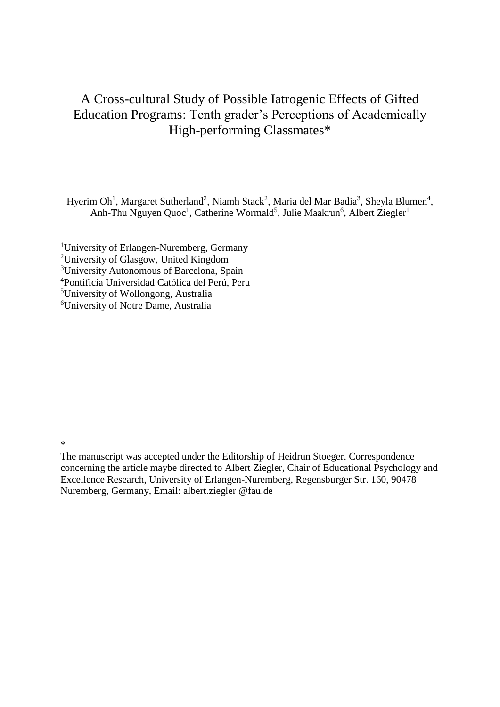# A Cross-cultural Study of Possible Iatrogenic Effects of Gifted Education Programs: Tenth grader's Perceptions of Academically High-performing Classmates\*

Hyerim Oh<sup>1</sup>, Margaret Sutherland<sup>2</sup>, Niamh Stack<sup>2</sup>, Maria del Mar Badia<sup>3</sup>, Sheyla Blumen<sup>4</sup>, Anh-Thu Nguyen Quoc<sup>1</sup>, Catherine Wormald<sup>5</sup>, Julie Maakrun<sup>6</sup>, Albert Ziegler<sup>1</sup>

University of Erlangen-Nuremberg, Germany University of Glasgow, United Kingdom University Autonomous of Barcelona, Spain Pontificia Universidad Católica del Perú, Peru University of Wollongong, Australia University of Notre Dame, Australia

\*

The manuscript was accepted under the Editorship of Heidrun Stoeger. Correspondence concerning the article maybe directed to Albert Ziegler, Chair of Educational Psychology and Excellence Research, University of Erlangen-Nuremberg, Regensburger Str. 160, 90478 Nuremberg, Germany, Email: albert.ziegler @fau.de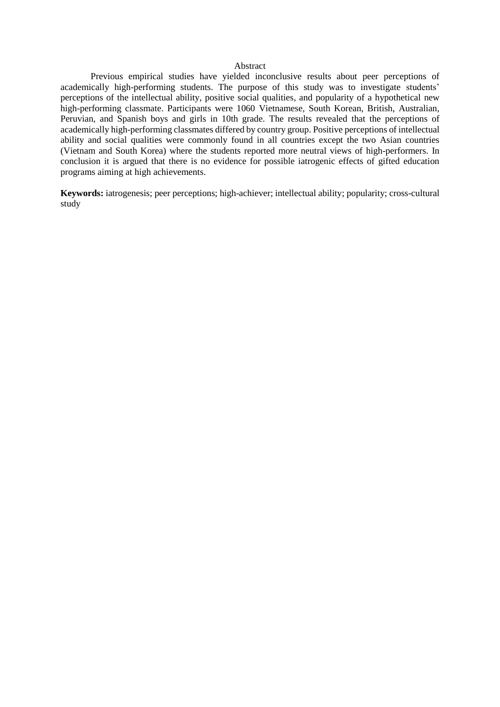# Abstract

Previous empirical studies have yielded inconclusive results about peer perceptions of academically high-performing students. The purpose of this study was to investigate students' perceptions of the intellectual ability, positive social qualities, and popularity of a hypothetical new high-performing classmate. Participants were 1060 Vietnamese, South Korean, British, Australian, Peruvian, and Spanish boys and girls in 10th grade. The results revealed that the perceptions of academically high-performing classmates differed by country group. Positive perceptions of intellectual ability and social qualities were commonly found in all countries except the two Asian countries (Vietnam and South Korea) where the students reported more neutral views of high-performers. In conclusion it is argued that there is no evidence for possible iatrogenic effects of gifted education programs aiming at high achievements.

**Keywords:** iatrogenesis; peer perceptions; high-achiever; intellectual ability; popularity; cross-cultural study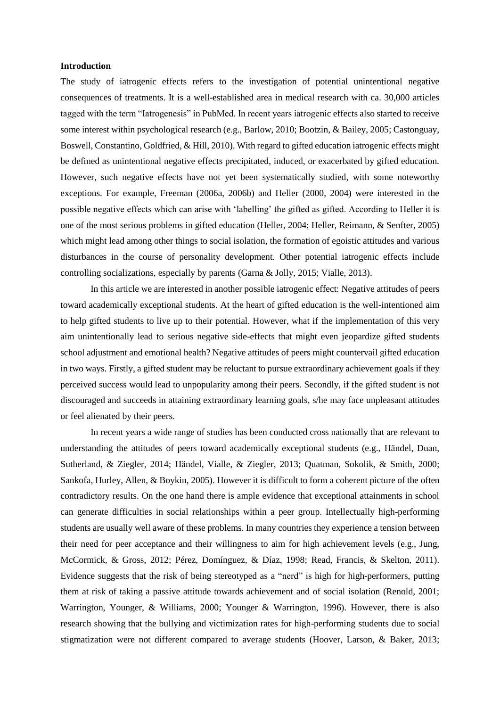#### **Introduction**

The study of iatrogenic effects refers to the investigation of potential unintentional negative consequences of treatments. It is a well-established area in medical research with ca. 30,000 articles tagged with the term "Iatrogenesis" in PubMed. In recent years iatrogenic effects also started to receive some interest within psychological research (e.g., Barlow, 2010; Bootzin, & Bailey, 2005; Castonguay, Boswell, Constantino, Goldfried, & Hill, 2010). With regard to gifted education iatrogenic effects might be defined as unintentional negative effects precipitated, induced, or exacerbated by gifted education. However, such negative effects have not yet been systematically studied, with some noteworthy exceptions. For example, Freeman (2006a, 2006b) and Heller (2000, 2004) were interested in the possible negative effects which can arise with 'labelling' the gifted as gifted. According to Heller it is one of the most serious problems in gifted education (Heller, 2004; Heller, Reimann, & Senfter, 2005) which might lead among other things to social isolation, the formation of egoistic attitudes and various disturbances in the course of personality development. Other potential iatrogenic effects include controlling socializations, especially by parents (Garna & Jolly, 2015; Vialle, 2013).

In this article we are interested in another possible iatrogenic effect: Negative attitudes of peers toward academically exceptional students. At the heart of gifted education is the well-intentioned aim to help gifted students to live up to their potential. However, what if the implementation of this very aim unintentionally lead to serious negative side-effects that might even jeopardize gifted students school adjustment and emotional health? Negative attitudes of peers might countervail gifted education in two ways. Firstly, a gifted student may be reluctant to pursue extraordinary achievement goals if they perceived success would lead to unpopularity among their peers. Secondly, if the gifted student is not discouraged and succeeds in attaining extraordinary learning goals, s/he may face unpleasant attitudes or feel alienated by their peers.

In recent years a wide range of studies has been conducted cross nationally that are relevant to understanding the attitudes of peers toward academically exceptional students (e.g., Händel, Duan, Sutherland, & Ziegler, 2014; Händel, Vialle, & Ziegler, 2013; Quatman, Sokolik, & Smith, 2000; Sankofa, Hurley, Allen, & Boykin, 2005). However it is difficult to form a coherent picture of the often contradictory results. On the one hand there is ample evidence that exceptional attainments in school can generate difficulties in social relationships within a peer group. Intellectually high-performing students are usually well aware of these problems. In many countries they experience a tension between their need for peer acceptance and their willingness to aim for high achievement levels (e.g., Jung, McCormick, & Gross, 2012; Pérez, Domínguez, & Díaz, 1998; Read, Francis, & Skelton, 2011). Evidence suggests that the risk of being stereotyped as a "nerd" is high for high-performers, putting them at risk of taking a passive attitude towards achievement and of social isolation (Renold, 2001; Warrington, Younger, & Williams, 2000; Younger & Warrington, 1996). However, there is also research showing that the bullying and victimization rates for high-performing students due to social stigmatization were not different compared to average students (Hoover, Larson, & Baker, 2013;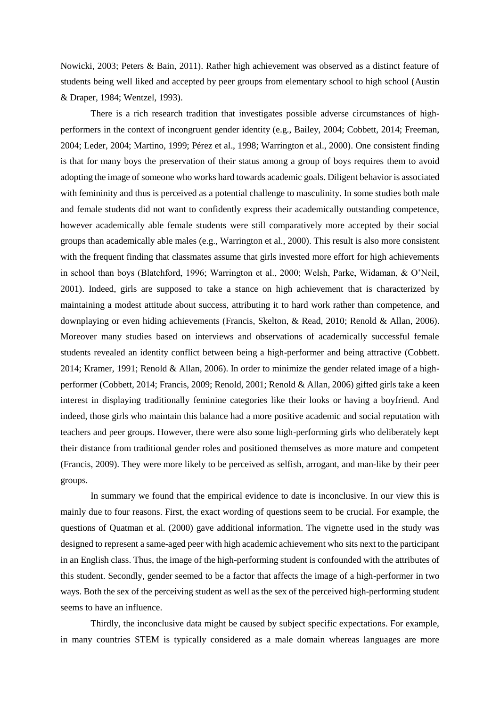Nowicki, 2003; Peters & Bain, 2011). Rather high achievement was observed as a distinct feature of students being well liked and accepted by peer groups from elementary school to high school (Austin & Draper, 1984; Wentzel, 1993).

There is a rich research tradition that investigates possible adverse circumstances of highperformers in the context of incongruent gender identity (e.g., Bailey, 2004; Cobbett, 2014; Freeman, 2004; Leder, 2004; Martino, 1999; Pérez et al., 1998; Warrington et al., 2000). One consistent finding is that for many boys the preservation of their status among a group of boys requires them to avoid adopting the image of someone who works hard towards academic goals. Diligent behavior is associated with femininity and thus is perceived as a potential challenge to masculinity. In some studies both male and female students did not want to confidently express their academically outstanding competence, however academically able female students were still comparatively more accepted by their social groups than academically able males (e.g., Warrington et al., 2000). This result is also more consistent with the frequent finding that classmates assume that girls invested more effort for high achievements in school than boys (Blatchford, 1996; Warrington et al., 2000; Welsh, Parke, Widaman, & O'Neil, 2001). Indeed, girls are supposed to take a stance on high achievement that is characterized by maintaining a modest attitude about success, attributing it to hard work rather than competence, and downplaying or even hiding achievements (Francis, Skelton, & Read, 2010; Renold & Allan, 2006). Moreover many studies based on interviews and observations of academically successful female students revealed an identity conflict between being a high-performer and being attractive (Cobbett. 2014; Kramer, 1991; Renold & Allan, 2006). In order to minimize the gender related image of a highperformer (Cobbett, 2014; Francis, 2009; Renold, 2001; Renold & Allan, 2006) gifted girls take a keen interest in displaying traditionally feminine categories like their looks or having a boyfriend. And indeed, those girls who maintain this balance had a more positive academic and social reputation with teachers and peer groups. However, there were also some high-performing girls who deliberately kept their distance from traditional gender roles and positioned themselves as more mature and competent (Francis, 2009). They were more likely to be perceived as selfish, arrogant, and man-like by their peer groups.

In summary we found that the empirical evidence to date is inconclusive. In our view this is mainly due to four reasons. First, the exact wording of questions seem to be crucial. For example, the questions of Quatman et al. (2000) gave additional information. The vignette used in the study was designed to represent a same-aged peer with high academic achievement who sits next to the participant in an English class. Thus, the image of the high-performing student is confounded with the attributes of this student. Secondly, gender seemed to be a factor that affects the image of a high-performer in two ways. Both the sex of the perceiving student as well as the sex of the perceived high-performing student seems to have an influence.

Thirdly, the inconclusive data might be caused by subject specific expectations. For example, in many countries STEM is typically considered as a male domain whereas languages are more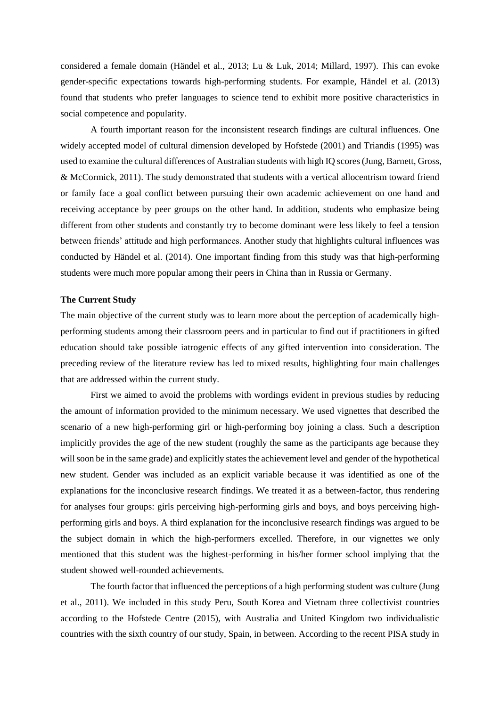considered a female domain (Händel et al., 2013; Lu & Luk, 2014; Millard, 1997). This can evoke gender-specific expectations towards high-performing students. For example, Händel et al. (2013) found that students who prefer languages to science tend to exhibit more positive characteristics in social competence and popularity.

A fourth important reason for the inconsistent research findings are cultural influences. One widely accepted model of cultural dimension developed by Hofstede (2001) and Triandis (1995) was used to examine the cultural differences of Australian students with high IQ scores (Jung, Barnett, Gross, & McCormick, 2011). The study demonstrated that students with a vertical allocentrism toward friend or family face a goal conflict between pursuing their own academic achievement on one hand and receiving acceptance by peer groups on the other hand. In addition, students who emphasize being different from other students and constantly try to become dominant were less likely to feel a tension between friends' attitude and high performances. Another study that highlights cultural influences was conducted by Händel et al. (2014). One important finding from this study was that high-performing students were much more popular among their peers in China than in Russia or Germany.

# **The Current Study**

The main objective of the current study was to learn more about the perception of academically highperforming students among their classroom peers and in particular to find out if practitioners in gifted education should take possible iatrogenic effects of any gifted intervention into consideration. The preceding review of the literature review has led to mixed results, highlighting four main challenges that are addressed within the current study.

First we aimed to avoid the problems with wordings evident in previous studies by reducing the amount of information provided to the minimum necessary. We used vignettes that described the scenario of a new high-performing girl or high-performing boy joining a class. Such a description implicitly provides the age of the new student (roughly the same as the participants age because they will soon be in the same grade) and explicitly states the achievement level and gender of the hypothetical new student. Gender was included as an explicit variable because it was identified as one of the explanations for the inconclusive research findings. We treated it as a between-factor, thus rendering for analyses four groups: girls perceiving high-performing girls and boys, and boys perceiving highperforming girls and boys. A third explanation for the inconclusive research findings was argued to be the subject domain in which the high-performers excelled. Therefore, in our vignettes we only mentioned that this student was the highest-performing in his/her former school implying that the student showed well-rounded achievements.

The fourth factor that influenced the perceptions of a high performing student was culture (Jung et al., 2011). We included in this study Peru, South Korea and Vietnam three collectivist countries according to the Hofstede Centre (2015), with Australia and United Kingdom two individualistic countries with the sixth country of our study, Spain, in between. According to the recent PISA study in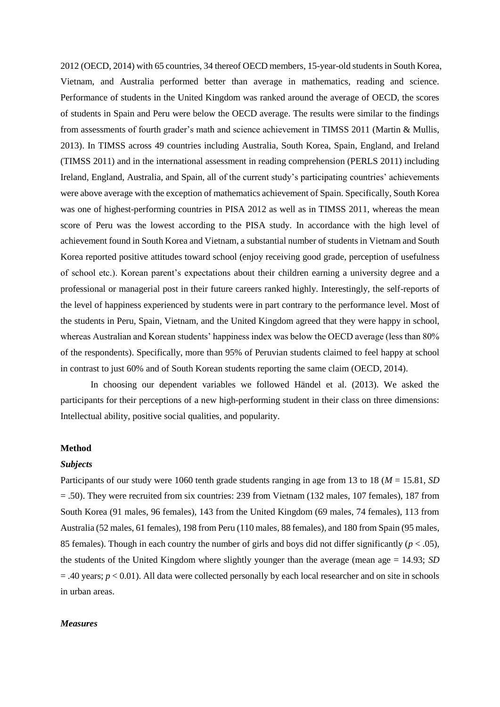2012 (OECD, 2014) with 65 countries, 34 thereof OECD members, 15-year-old students in South Korea, Vietnam, and Australia performed better than average in mathematics, reading and science. Performance of students in the United Kingdom was ranked around the average of OECD, the scores of students in Spain and Peru were below the OECD average. The results were similar to the findings from assessments of fourth grader's math and science achievement in TIMSS 2011 (Martin & Mullis, 2013). In TIMSS across 49 countries including Australia, South Korea, Spain, England, and Ireland (TIMSS 2011) and in the international assessment in reading comprehension (PERLS 2011) including Ireland, England, Australia, and Spain, all of the current study's participating countries' achievements were above average with the exception of mathematics achievement of Spain. Specifically, South Korea was one of highest-performing countries in PISA 2012 as well as in TIMSS 2011, whereas the mean score of Peru was the lowest according to the PISA study. In accordance with the high level of achievement found in South Korea and Vietnam, a substantial number of students in Vietnam and South Korea reported positive attitudes toward school (enjoy receiving good grade, perception of usefulness of school etc.). Korean parent's expectations about their children earning a university degree and a professional or managerial post in their future careers ranked highly. Interestingly, the self-reports of the level of happiness experienced by students were in part contrary to the performance level. Most of the students in Peru, Spain, Vietnam, and the United Kingdom agreed that they were happy in school, whereas Australian and Korean students' happiness index was below the OECD average (less than 80% of the respondents). Specifically, more than 95% of Peruvian students claimed to feel happy at school in contrast to just 60% and of South Korean students reporting the same claim (OECD, 2014).

In choosing our dependent variables we followed Händel et al. (2013). We asked the participants for their perceptions of a new high-performing student in their class on three dimensions: Intellectual ability, positive social qualities, and popularity.

#### **Method**

#### *Subjects*

Participants of our study were 1060 tenth grade students ranging in age from 13 to 18 (*M* = 15.81, *SD* = .50). They were recruited from six countries: 239 from Vietnam (132 males, 107 females), 187 from South Korea (91 males, 96 females), 143 from the United Kingdom (69 males, 74 females), 113 from Australia (52 males, 61 females), 198 from Peru (110 males, 88 females), and 180 from Spain (95 males, 85 females). Though in each country the number of girls and boys did not differ significantly ( $p < .05$ ), the students of the United Kingdom where slightly younger than the average (mean age = 14.93; *SD*  $=$  .40 years;  $p < 0.01$ ). All data were collected personally by each local researcher and on site in schools in urban areas.

## *Measures*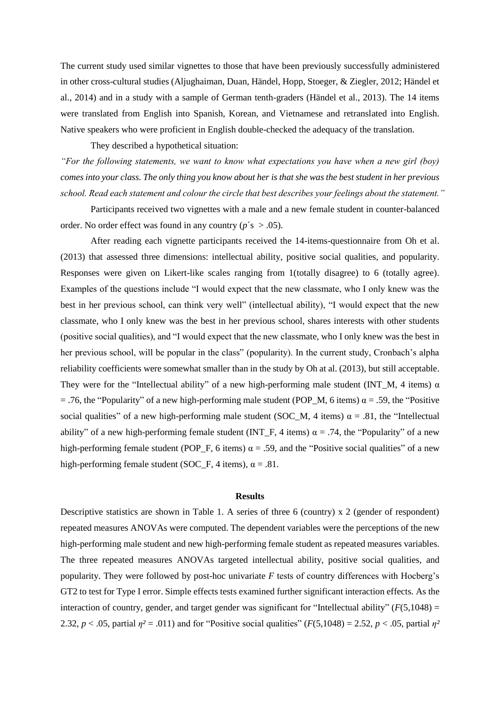The current study used similar vignettes to those that have been previously successfully administered in other cross-cultural studies (Aljughaiman, Duan, Händel, Hopp, Stoeger, & Ziegler, 2012; Händel et al., 2014) and in a study with a sample of German tenth-graders (Händel et al., 2013). The 14 items were translated from English into Spanish, Korean, and Vietnamese and retranslated into English. Native speakers who were proficient in English double-checked the adequacy of the translation.

They described a hypothetical situation: *"For the following statements, we want to know what expectations you have when a new girl (boy) comes into your class. The only thing you know about her is that she was the best student in her previous school. Read each statement and colour the circle that best describes your feelings about the statement."*

Participants received two vignettes with a male and a new female student in counter-balanced order. No order effect was found in any country ( $p's > .05$ ).

After reading each vignette participants received the 14-items-questionnaire from Oh et al. (2013) that assessed three dimensions: intellectual ability, positive social qualities, and popularity. Responses were given on Likert-like scales ranging from 1(totally disagree) to 6 (totally agree). Examples of the questions include "I would expect that the new classmate, who I only knew was the best in her previous school, can think very well" (intellectual ability), "I would expect that the new classmate, who I only knew was the best in her previous school, shares interests with other students (positive social qualities), and "I would expect that the new classmate, who I only knew was the best in her previous school, will be popular in the class" (popularity). In the current study, Cronbach's alpha reliability coefficients were somewhat smaller than in the study by Oh at al. (2013), but still acceptable. They were for the "Intellectual ability" of a new high-performing male student (INT M, 4 items)  $\alpha$ = .76, the "Popularity" of a new high-performing male student (POP M, 6 items)  $\alpha$  = .59, the "Positive social qualities" of a new high-performing male student (SOC\_M, 4 items)  $\alpha = .81$ , the "Intellectual ability" of a new high-performing female student (INT F, 4 items)  $\alpha$  = .74, the "Popularity" of a new high-performing female student (POP F, 6 items)  $\alpha = .59$ , and the "Positive social qualities" of a new high-performing female student (SOC\_F, 4 items),  $\alpha = .81$ .

#### **Results**

Descriptive statistics are shown in Table 1. A series of three 6 (country) x 2 (gender of respondent) repeated measures ANOVAs were computed. The dependent variables were the perceptions of the new high-performing male student and new high-performing female student as repeated measures variables. The three repeated measures ANOVAs targeted intellectual ability, positive social qualities, and popularity. They were followed by post-hoc univariate *F* tests of country differences with Hocberg's GT2 to test for Type I error. Simple effects tests examined further significant interaction effects. As the interaction of country, gender, and target gender was significant for "Intellectual ability"  $(F(5,1048) =$ 2.32,  $p < .05$ , partial  $\eta^2 = .011$ ) and for "Positive social qualities" ( $F(5,1048) = 2.52$ ,  $p < .05$ , partial  $\eta^2$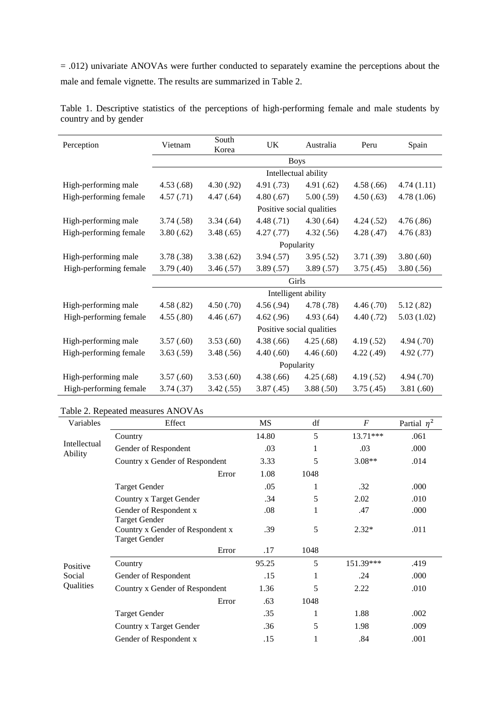= .012) univariate ANOVAs were further conducted to separately examine the perceptions about the male and female vignette. The results are summarized in Table 2.

| Perception             | Vietnam                   | South<br>Korea            | UK         | Australia  | Peru       | Spain      |  |
|------------------------|---------------------------|---------------------------|------------|------------|------------|------------|--|
|                        | <b>Boys</b>               |                           |            |            |            |            |  |
|                        | Intellectual ability      |                           |            |            |            |            |  |
| High-performing male   | 4.53(.68)                 | 4.30(.92)                 | 4.91(.73)  | 4.91(.62)  | 4.58(.66)  | 4.74(1.11) |  |
| High-performing female | 4.57(.71)                 | 4.47(.64)                 | 4.80(.67)  | 5.00(.59)  | 4.50(.63)  | 4.78(1.06) |  |
|                        |                           | Positive social qualities |            |            |            |            |  |
| High-performing male   | 3.74(.58)                 | 3.34(.64)                 | 4.48(.71)  | 4.30(.64)  | 4.24(.52)  | 4.76(.86)  |  |
| High-performing female | 3.80(.62)                 | 3.48(.65)                 | 4.27(0.77) | 4.32(.56)  | 4.28(0.47) | 4.76(.83)  |  |
|                        | Popularity                |                           |            |            |            |            |  |
| High-performing male   | 3.78(.38)                 | 3.38(.62)                 | 3.94(.57)  | 3.95(.52)  | 3.71(.39)  | 3.80(.60)  |  |
| High-performing female | 3.79(0.40)                | 3.46(.57)                 | 3.89(.57)  | 3.89(.57)  | 3.75(.45)  | 3.80(.56)  |  |
|                        | Girls                     |                           |            |            |            |            |  |
|                        | Intelligent ability       |                           |            |            |            |            |  |
| High-performing male   | 4.58(.82)                 | 4.50(.70)                 | 4.56(.94)  | 4.78 (.78) | 4.46(.70)  | 5.12(.82)  |  |
| High-performing female | 4.55(.80)                 | 4.46(.67)                 | 4.62(.96)  | 4.93(.64)  | 4.40(.72)  | 5.03(1.02) |  |
|                        | Positive social qualities |                           |            |            |            |            |  |
| High-performing male   | 3.57(.60)                 | 3.53(0.60)                | 4.38(.66)  | 4.25(.68)  | 4.19(.52)  | 4.94(.70)  |  |
| High-performing female | 3.63(.59)                 | 3.48(.56)                 | 4.40(.60)  | 4.46(.60)  | 4.22(.49)  | 4.92 (.77) |  |
|                        |                           | Popularity                |            |            |            |            |  |
| High-performing male   | 3.57(.60)                 | 3.53(.60)                 | 4.38(.66)  | 4.25(.68)  | 4.19(.52)  | 4.94(.70)  |  |
| High-performing female | 3.74(.37)                 | 3.42(.55)                 | 3.87(0.45) | 3.88(.50)  | 3.75(.45)  | 3.81(.60)  |  |

Table 1. Descriptive statistics of the perceptions of high-performing female and male students by country and by gender

# Table 2. Repeated measures ANOVAs

| Variables                       | Effect                                                   | <b>MS</b> | df   | $\cal F$  | Partial $\eta^2$ |
|---------------------------------|----------------------------------------------------------|-----------|------|-----------|------------------|
|                                 | Country                                                  | 14.80     | 5    | 13.71***  | .061             |
| Intellectual<br>Ability         | Gender of Respondent                                     | .03       | 1    | .03       | .000             |
|                                 | Country x Gender of Respondent                           | 3.33      | 5    | $3.08**$  | .014             |
|                                 | Error                                                    | 1.08      | 1048 |           |                  |
|                                 | <b>Target Gender</b>                                     | .05       |      | .32       | .000             |
|                                 | Country x Target Gender                                  | .34       | 5    | 2.02      | .010             |
|                                 | Gender of Respondent x<br><b>Target Gender</b>           | .08       |      | .47       | .000             |
|                                 | Country x Gender of Respondent x<br><b>Target Gender</b> | .39       | 5    | $2.32*$   | .011             |
|                                 | Error                                                    | .17       | 1048 |           |                  |
| Positive<br>Social<br>Qualities | Country                                                  | 95.25     | 5    | 151.39*** | .419             |
|                                 | Gender of Respondent                                     | .15       | 1    | .24       | .000             |
|                                 | Country x Gender of Respondent                           | 1.36      | 5    | 2.22      | .010             |
|                                 | Error                                                    | .63       | 1048 |           |                  |
|                                 | <b>Target Gender</b>                                     | .35       | 1    | 1.88      | .002             |
|                                 | Country x Target Gender                                  | .36       | 5    | 1.98      | .009             |
|                                 | Gender of Respondent x                                   | .15       | 1    | .84       | .001             |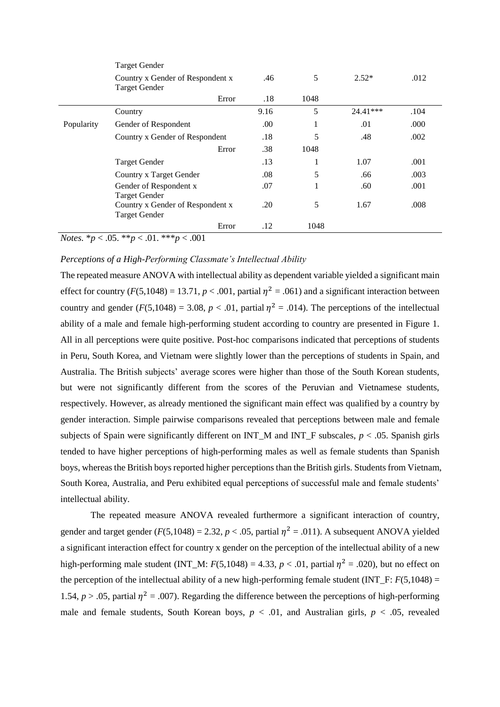|            | <b>Target Gender</b>                                     |      |      |          |      |  |
|------------|----------------------------------------------------------|------|------|----------|------|--|
|            | Country x Gender of Respondent x<br><b>Target Gender</b> | .46  | 5    | $2.52*$  | .012 |  |
|            | Error                                                    | .18  | 1048 |          |      |  |
|            | Country                                                  | 9.16 | 5    | 24.41*** | .104 |  |
| Popularity | Gender of Respondent                                     | .00  | 1    | .01      | .000 |  |
|            | Country x Gender of Respondent                           | .18  | 5    | .48      | .002 |  |
|            | Error                                                    | .38  | 1048 |          |      |  |
|            | <b>Target Gender</b>                                     | .13  |      | 1.07     | .001 |  |
|            | Country x Target Gender                                  | .08  | 5    | .66      | .003 |  |
|            | Gender of Respondent x<br><b>Target Gender</b>           | .07  | -1   | .60      | .001 |  |
|            | Country x Gender of Respondent x<br><b>Target Gender</b> | .20  | 5    | 1.67     | .008 |  |
|            | Error                                                    | .12  | 1048 |          |      |  |

*Notes.* \**p* < .05. \*\**p* < .01. \*\*\**p* < .001

# *Perceptions of a High-Performing Classmate's Intellectual Ability*

The repeated measure ANOVA with intellectual ability as dependent variable yielded a significant main effect for country ( $F(5,1048) = 13.71$ ,  $p < .001$ , partial  $\eta^2 = .061$ ) and a significant interaction between country and gender ( $F(5,1048) = 3.08$ ,  $p < .01$ , partial  $\eta^2 = .014$ ). The perceptions of the intellectual ability of a male and female high-performing student according to country are presented in Figure 1. All in all perceptions were quite positive. Post-hoc comparisons indicated that perceptions of students in Peru, South Korea, and Vietnam were slightly lower than the perceptions of students in Spain, and Australia. The British subjects' average scores were higher than those of the South Korean students, but were not significantly different from the scores of the Peruvian and Vietnamese students, respectively. However, as already mentioned the significant main effect was qualified by a country by gender interaction. Simple pairwise comparisons revealed that perceptions between male and female subjects of Spain were significantly different on INT\_M and INT\_F subscales, *p* < .05. Spanish girls tended to have higher perceptions of high-performing males as well as female students than Spanish boys, whereas the British boys reported higher perceptions than the British girls. Students from Vietnam, South Korea, Australia, and Peru exhibited equal perceptions of successful male and female students' intellectual ability.

The repeated measure ANOVA revealed furthermore a significant interaction of country, gender and target gender  $(F(5,1048) = 2.32, p < .05,$  partial  $\eta^2 = .011$ ). A subsequent ANOVA yielded a significant interaction effect for country x gender on the perception of the intellectual ability of a new high-performing male student (INT\_M:  $F(5,1048) = 4.33$ ,  $p < .01$ , partial  $\eta^2 = .020$ ), but no effect on the perception of the intellectual ability of a new high-performing female student (INT  $F: F(5,1048) =$ 1.54,  $p > .05$ , partial  $\eta^2 = .007$ ). Regarding the difference between the perceptions of high-performing male and female students, South Korean boys,  $p < .01$ , and Australian girls,  $p < .05$ , revealed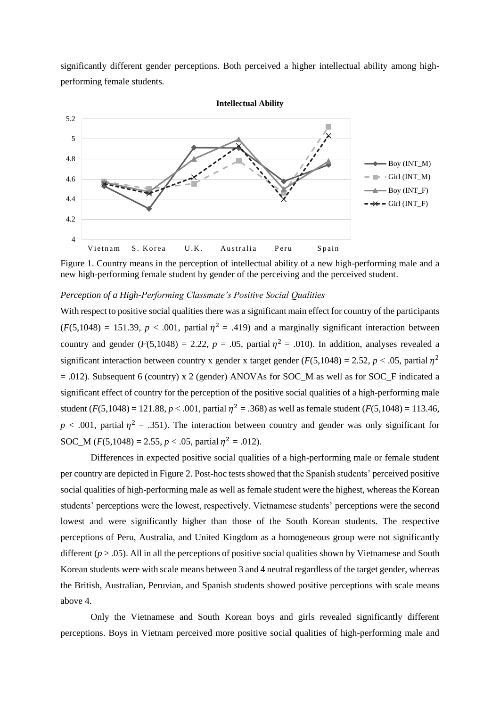significantly different gender perceptions. Both perceived a higher intellectual ability among highperforming female students.



Figure 1. Country means in the perception of intellectual ability of a new high-performing male and a new high-performing female student by gender of the perceiving and the perceived student.

## *Perception of a High-Performing Classmate's Positive Social Qualities*

With respect to positive social qualities there was a significant main effect for country of the participants  $(F(5, 1048) = 151.39, p < .001$ , partial  $\eta^2 = .419$ ) and a marginally significant interaction between country and gender  $(F(5,1048) = 2.22, p = .05,$  partial  $\eta^2 = .010$ ). In addition, analyses revealed a significant interaction between country x gender x target gender  $(F(5,1048) = 2.52, p < .05,$  partial  $\eta^2$  $= .012$ ). Subsequent 6 (country) x 2 (gender) ANOVAs for SOC\_M as well as for SOC\_F indicated a significant effect of country for the perception of the positive social qualities of a high-performing male student  $(F(5,1048) = 121.88, p < .001,$  partial  $\eta^2 = .368$ ) as well as female student  $(F(5,1048) = 113.46,$  $p < .001$ , partial  $\eta^2 = .351$ ). The interaction between country and gender was only significant for SOC\_M ( $F(5,1048) = 2.55$ ,  $p < .05$ , partial  $\eta^2 = .012$ ).

Differences in expected positive social qualities of a high-performing male or female student per country are depicted in Figure 2. Post-hoc tests showed that the Spanish students' perceived positive social qualities of high-performing male as well as female student were the highest, whereas the Korean students' perceptions were the lowest, respectively. Vietnamese students' perceptions were the second lowest and were significantly higher than those of the South Korean students. The respective perceptions of Peru, Australia, and United Kingdom as a homogeneous group were not significantly different  $(p > .05)$ . All in all the perceptions of positive social qualities shown by Vietnamese and South Korean students were with scale means between 3 and 4 neutral regardless of the target gender, whereas the British, Australian, Peruvian, and Spanish students showed positive perceptions with scale means above 4.

Only the Vietnamese and South Korean boys and girls revealed significantly different perceptions. Boys in Vietnam perceived more positive social qualities of high-performing male and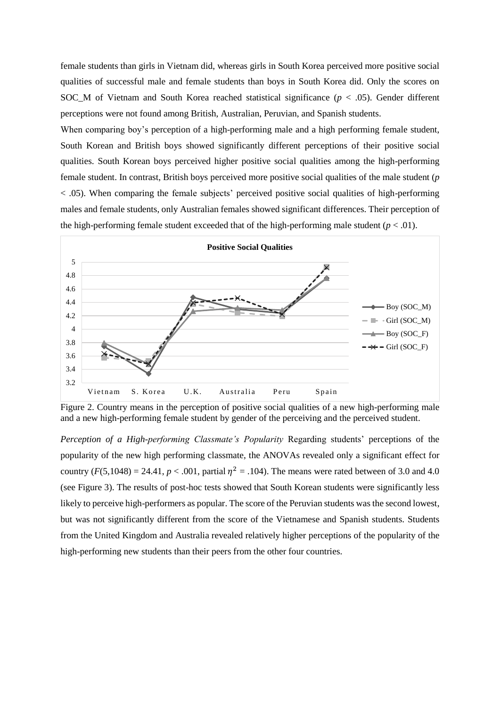female students than girls in Vietnam did, whereas girls in South Korea perceived more positive social qualities of successful male and female students than boys in South Korea did. Only the scores on SOC M of Vietnam and South Korea reached statistical significance ( $p < .05$ ). Gender different perceptions were not found among British, Australian, Peruvian, and Spanish students.

When comparing boy's perception of a high-performing male and a high performing female student, South Korean and British boys showed significantly different perceptions of their positive social qualities. South Korean boys perceived higher positive social qualities among the high-performing female student. In contrast, British boys perceived more positive social qualities of the male student (*p* < .05). When comparing the female subjects' perceived positive social qualities of high-performing males and female students, only Australian females showed significant differences. Their perception of the high-performing female student exceeded that of the high-performing male student ( $p < .01$ ).



Figure 2. Country means in the perception of positive social qualities of a new high-performing male and a new high-performing female student by gender of the perceiving and the perceived student.

*Perception of a High-performing Classmate's Popularity* Regarding students' perceptions of the popularity of the new high performing classmate, the ANOVAs revealed only a significant effect for country ( $F(5,1048) = 24.41$ ,  $p < .001$ , partial  $\eta^2 = .104$ ). The means were rated between of 3.0 and 4.0 (see Figure 3). The results of post-hoc tests showed that South Korean students were significantly less likely to perceive high-performers as popular. The score of the Peruvian students was the second lowest, but was not significantly different from the score of the Vietnamese and Spanish students. Students from the United Kingdom and Australia revealed relatively higher perceptions of the popularity of the high-performing new students than their peers from the other four countries.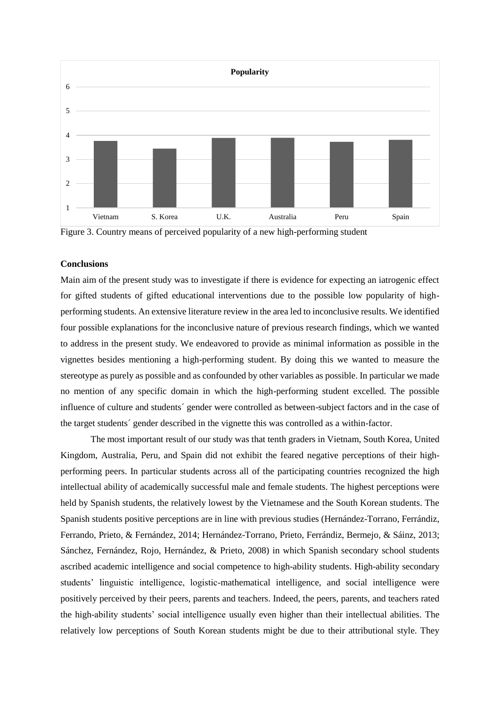

Figure 3. Country means of perceived popularity of a new high-performing student

## **Conclusions**

Main aim of the present study was to investigate if there is evidence for expecting an iatrogenic effect for gifted students of gifted educational interventions due to the possible low popularity of highperforming students. An extensive literature review in the area led to inconclusive results. We identified four possible explanations for the inconclusive nature of previous research findings, which we wanted to address in the present study. We endeavored to provide as minimal information as possible in the vignettes besides mentioning a high-performing student. By doing this we wanted to measure the stereotype as purely as possible and as confounded by other variables as possible. In particular we made no mention of any specific domain in which the high-performing student excelled. The possible influence of culture and students´ gender were controlled as between-subject factors and in the case of the target students´ gender described in the vignette this was controlled as a within-factor.

The most important result of our study was that tenth graders in Vietnam, South Korea, United Kingdom, Australia, Peru, and Spain did not exhibit the feared negative perceptions of their highperforming peers. In particular students across all of the participating countries recognized the high intellectual ability of academically successful male and female students. The highest perceptions were held by Spanish students, the relatively lowest by the Vietnamese and the South Korean students. The Spanish students positive perceptions are in line with previous studies (Hernández-Torrano, Ferrándiz, Ferrando, Prieto, & Fernández, 2014; Hernández-Torrano, Prieto, Ferrándiz, Bermejo, & Sáinz, 2013; Sánchez, Fernández, Rojo, Hernández, & Prieto, 2008) in which Spanish secondary school students ascribed academic intelligence and social competence to high-ability students. High-ability secondary students' linguistic intelligence, logistic-mathematical intelligence, and social intelligence were positively perceived by their peers, parents and teachers. Indeed, the peers, parents, and teachers rated the high-ability students' social intelligence usually even higher than their intellectual abilities. The relatively low perceptions of South Korean students might be due to their attributional style. They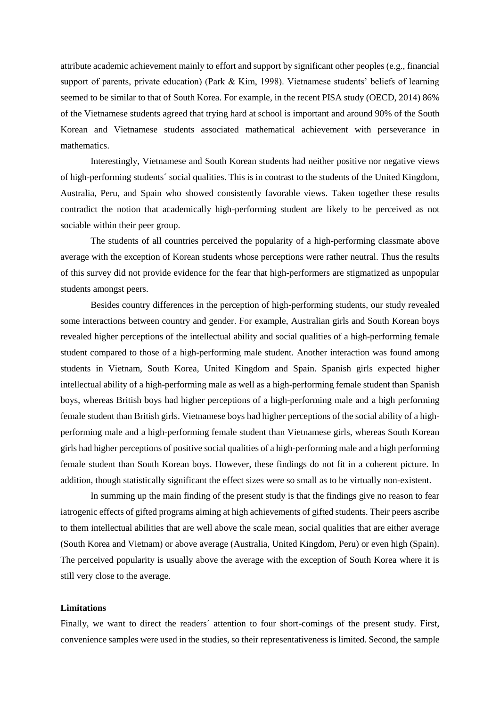attribute academic achievement mainly to effort and support by significant other peoples (e.g., financial support of parents, private education) (Park & Kim, 1998). Vietnamese students' beliefs of learning seemed to be similar to that of South Korea. For example, in the recent PISA study (OECD, 2014) 86% of the Vietnamese students agreed that trying hard at school is important and around 90% of the South Korean and Vietnamese students associated mathematical achievement with perseverance in mathematics.

Interestingly, Vietnamese and South Korean students had neither positive nor negative views of high-performing students´ social qualities. This is in contrast to the students of the United Kingdom, Australia, Peru, and Spain who showed consistently favorable views. Taken together these results contradict the notion that academically high-performing student are likely to be perceived as not sociable within their peer group.

The students of all countries perceived the popularity of a high-performing classmate above average with the exception of Korean students whose perceptions were rather neutral. Thus the results of this survey did not provide evidence for the fear that high-performers are stigmatized as unpopular students amongst peers.

Besides country differences in the perception of high-performing students, our study revealed some interactions between country and gender. For example, Australian girls and South Korean boys revealed higher perceptions of the intellectual ability and social qualities of a high-performing female student compared to those of a high-performing male student. Another interaction was found among students in Vietnam, South Korea, United Kingdom and Spain. Spanish girls expected higher intellectual ability of a high-performing male as well as a high-performing female student than Spanish boys, whereas British boys had higher perceptions of a high-performing male and a high performing female student than British girls. Vietnamese boys had higher perceptions of the social ability of a highperforming male and a high-performing female student than Vietnamese girls, whereas South Korean girls had higher perceptions of positive social qualities of a high-performing male and a high performing female student than South Korean boys. However, these findings do not fit in a coherent picture. In addition, though statistically significant the effect sizes were so small as to be virtually non-existent.

In summing up the main finding of the present study is that the findings give no reason to fear iatrogenic effects of gifted programs aiming at high achievements of gifted students. Their peers ascribe to them intellectual abilities that are well above the scale mean, social qualities that are either average (South Korea and Vietnam) or above average (Australia, United Kingdom, Peru) or even high (Spain). The perceived popularity is usually above the average with the exception of South Korea where it is still very close to the average.

# **Limitations**

Finally, we want to direct the readers´ attention to four short-comings of the present study. First, convenience samples were used in the studies, so their representativeness is limited. Second, the sample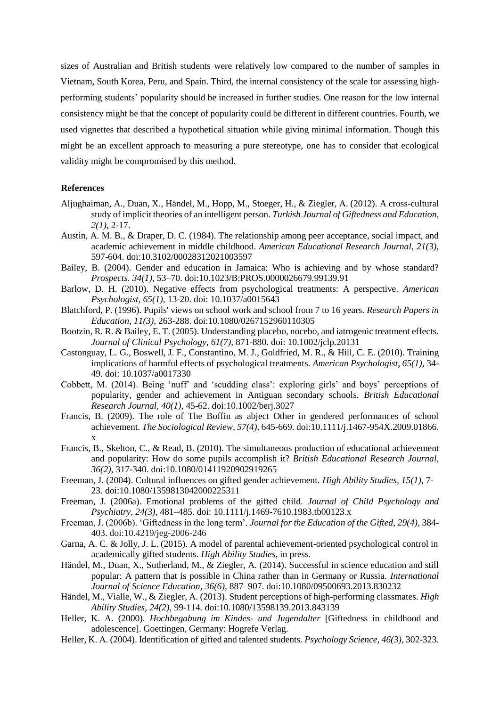sizes of Australian and British students were relatively low compared to the number of samples in Vietnam, South Korea, Peru, and Spain. Third, the internal consistency of the scale for assessing highperforming students' popularity should be increased in further studies. One reason for the low internal consistency might be that the concept of popularity could be different in different countries. Fourth, we used vignettes that described a hypothetical situation while giving minimal information. Though this might be an excellent approach to measuring a pure stereotype, one has to consider that ecological validity might be compromised by this method.

### **References**

- Aljughaiman, A., Duan, X., Händel, M., Hopp, M., Stoeger, H., & Ziegler, A. (2012). A cross-cultural study of implicit theories of an intelligent person. *Turkish Journal of Giftedness and Education, 2(1)*, 2-17.
- Austin, A. M. B., & Draper, D. C. (1984). The relationship among peer acceptance, social impact, and academic achievement in middle childhood. *American Educational Research Journal, 21(3)*, 597-604. doi:10.3102/00028312021003597
- Bailey, B. (2004). Gender and education in Jamaica: Who is achieving and by whose standard? *Prospects*. *34(1)*, 53–70. doi:10.1023/B:PROS.0000026679.99139.91
- Barlow, D. H. (2010). Negative effects from psychological treatments: A perspective. *American Psychologist, 65(1)*, 13-20. doi: 10.1037/a0015643
- Blatchford, P. (1996). Pupils' views on school work and school from 7 to 16 years. *Research Papers in Education, 11(3)*, 263-288. doi:10.1080/0267152960110305
- Bootzin, R. R. & Bailey, E. T. (2005). Understanding placebo, nocebo, and iatrogenic treatment effects. *Journal of Clinical Psychology, 61(7)*, 871-880. doi: 10.1002/jclp.20131
- Castonguay, L. G., Boswell, J. F., Constantino, M. J., Goldfried, M. R., & Hill, C. E. (2010). Training implications of harmful effects of psychological treatments. *American Psychologist, 65(1),* 34- 49. doi: 10.1037/a0017330
- Cobbett, M. (2014). Being 'nuff' and 'scudding class': exploring girls' and boys' perceptions of popularity, gender and achievement in Antiguan secondary schools. *British Educational Research Journal, 40(1)*, 45-62. doi:10.1002/berj.3027
- Francis, B. (2009). The role of The Boffin as abject Other in gendered performances of school achievement. *The Sociological Review, 57(4)*, 645-669. doi:10.1111/j.1467-954X.2009.01866. x
- Francis, B., Skelton, C., & Read, B. (2010). The simultaneous production of educational achievement and popularity: How do some pupils accomplish it? *British Educational Research Journal, 36(2)*, 317-340. doi:10.1080/01411920902919265
- Freeman, J. (2004). Cultural influences on gifted gender achievement. *High Ability Studies, 15(1)*, 7- 23. doi:10.1080/1359813042000225311
- Freeman, J. (2006a). Emotional problems of the gifted child. *Journal of Child Psychology and Psychiatry, 24(3)*, 481–485. doi: 10.1111/j.1469-7610.1983.tb00123.x
- Freeman, J. (2006b). 'Giftedness in the long term'. *Journal for the Education of the Gifted, 29(4)*, 384- 403. doi:10.4219/jeg-2006-246
- Garna, A. C. & Jolly, J. L. (2015). A model of parental achievement-oriented psychological control in academically gifted students. *High Ability Studies*, in press.
- Händel, M., Duan, X., Sutherland, M., & Ziegler, A. (2014). Successful in science education and still popular: A pattern that is possible in China rather than in Germany or Russia. *International Journal of Science Education, 36(6)*, 887–907. doi:10.1080/09500693.2013.830232
- Händel, M., Vialle, W., & Ziegler, A. (2013). Student perceptions of high-performing classmates. *High Ability Studies, 24(2)*, 99-114*.* doi:10.1080/13598139.2013.843139
- Heller, K. A. (2000). *Hochbegabung im Kindes- und Jugendalter* [Giftedness in childhood and adolescence]. Goettingen, Germany: Hogrefe Verlag.
- Heller, K. A. (2004). Identification of gifted and talented students. *Psychology Science, 46(3)*, 302-323.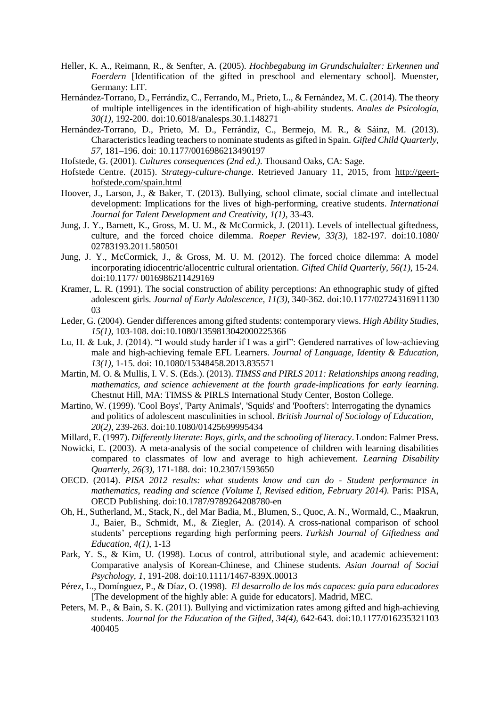- Heller, K. A., Reimann, R., & Senfter, A. (2005). *Hochbegabung im Grundschulalter: Erkennen und Foerdern* [Identification of the gifted in preschool and elementary school]. Muenster, Germany: LIT.
- Hernández-Torrano, D., Ferrándiz, C., Ferrando, M., Prieto, L., & Fernández, M. C. (2014). The theory of multiple intelligences in the identification of high-ability students. *Anales de Psicología, 30(1),* 192-200. doi:10.6018/analesps.30.1.148271
- Hernández-Torrano, D., Prieto, M. D., Ferrándiz, C., Bermejo, M. R., & Sáinz, M. (2013). Characteristics leading teachers to nominate students as gifted in Spain*. Gifted Child Quarterly, 57*, 181–196. doi: 10.1177/0016986213490197
- Hofstede, G. (2001). *Cultures consequences (2nd ed.)*. Thousand Oaks, CA: Sage.
- Hofstede Centre. (2015). *Strategy-culture-change*. Retrieved January 11, 2015, from [http://geert](http://geert-hofstede.com/spain.html)[hofstede.com/spain.html](http://geert-hofstede.com/spain.html)
- Hoover, J., Larson, J., & Baker, T. (2013). Bullying, school climate, social climate and intellectual development: Implications for the lives of high-performing, creative students. *International Journal for Talent Development and Creativity, 1(1)*, 33-43.
- Jung, J. Y., Barnett, K., Gross, M. U. M., & McCormick, J. (2011). Levels of intellectual giftedness, culture, and the forced choice dilemma. *Roeper Review, 33(3)*, 182-197. doi:10.1080/ 02783193.2011.580501
- Jung, J. Y., McCormick, J., & Gross, M. U. M. (2012). The forced choice dilemma: A model incorporating idiocentric/allocentric cultural orientation. *Gifted Child Quarterly, 56(1)*, 15-24. doi:10.1177/ 0016986211429169
- Kramer, L. R. (1991). The social construction of ability perceptions: An ethnographic study of gifted adolescent girls. *Journal of Early Adolescence, 11(3)*, 340-362. doi:10.1177/02724316911130  $\Omega$
- Leder, G. (2004). Gender differences among gifted students: contemporary views. *High Ability Studies, 15(1)*, 103-108. doi:10.1080/1359813042000225366
- Lu, H. & Luk, J. (2014). "I would study harder if I was a girl": Gendered narratives of low-achieving male and high-achieving female EFL Learners. *Journal of Language, Identity & Education, 13(1)*, 1-15. doi: 10.1080/15348458.2013.835571
- Martin, M. O. & Mullis, I. V. S. (Eds.). (2013). *TIMSS and PIRLS 2011: Relationships among reading, mathematics, and science achievement at the fourth grade-implications for early learning*. Chestnut Hill, MA: TIMSS & PIRLS International Study Center, Boston College.
- Martino, W. (1999). 'Cool Boys', 'Party Animals', 'Squids' and 'Poofters': Interrogating the dynamics and politics of adolescent masculinities in school. *British Journal of Sociology of Education, 20(2)*, 239-263. doi:10.1080/01425699995434
- Millard, E. (1997). *Differently literate: Boys, girls, and the schooling of literacy*. London: Falmer Press.
- Nowicki, E. (2003). A meta-analysis of the social competence of children with learning disabilities compared to classmates of low and average to high achievement. *Learning Disability Quarterly, 26(3)*, 171-188. doi: 10.2307/1593650
- OECD. (2014). *PISA 2012 results: what students know and can do - Student performance in mathematics, reading and science (Volume I, Revised edition, February 2014). Paris: PISA,* OECD Publishing. doi:10.1787/9789264208780-en
- Oh, H., Sutherland, M., Stack, N., del Mar Badia, M., Blumen, S., Quoc, A. N., Wormald, C., Maakrun, J., Baier, B., Schmidt, M., & Ziegler, A. (2014). A cross-national comparison of school students' perceptions regarding high performing peers. *Turkish Journal of Giftedness and Education, 4(1)*, 1-13
- Park, Y. S., & Kim, U. (1998). Locus of control, attributional style, and academic achievement: Comparative analysis of Korean-Chinese, and Chinese students. *Asian Journal of Social Psychology, 1*, 191-208. doi:10.1111/1467-839X.00013
- Pérez, L., Domínguez, P., & Díaz, O. (1998). *El desarrollo de los más capaces: guía para educadores* [The development of the highly able: A guide for educators]. Madrid, MEC.
- Peters, M. P., & Bain, S. K. (2011). Bullying and victimization rates among gifted and high-achieving students. *Journal for the Education of the Gifted, 34(4),* 642-643. doi:10.1177/016235321103 400405